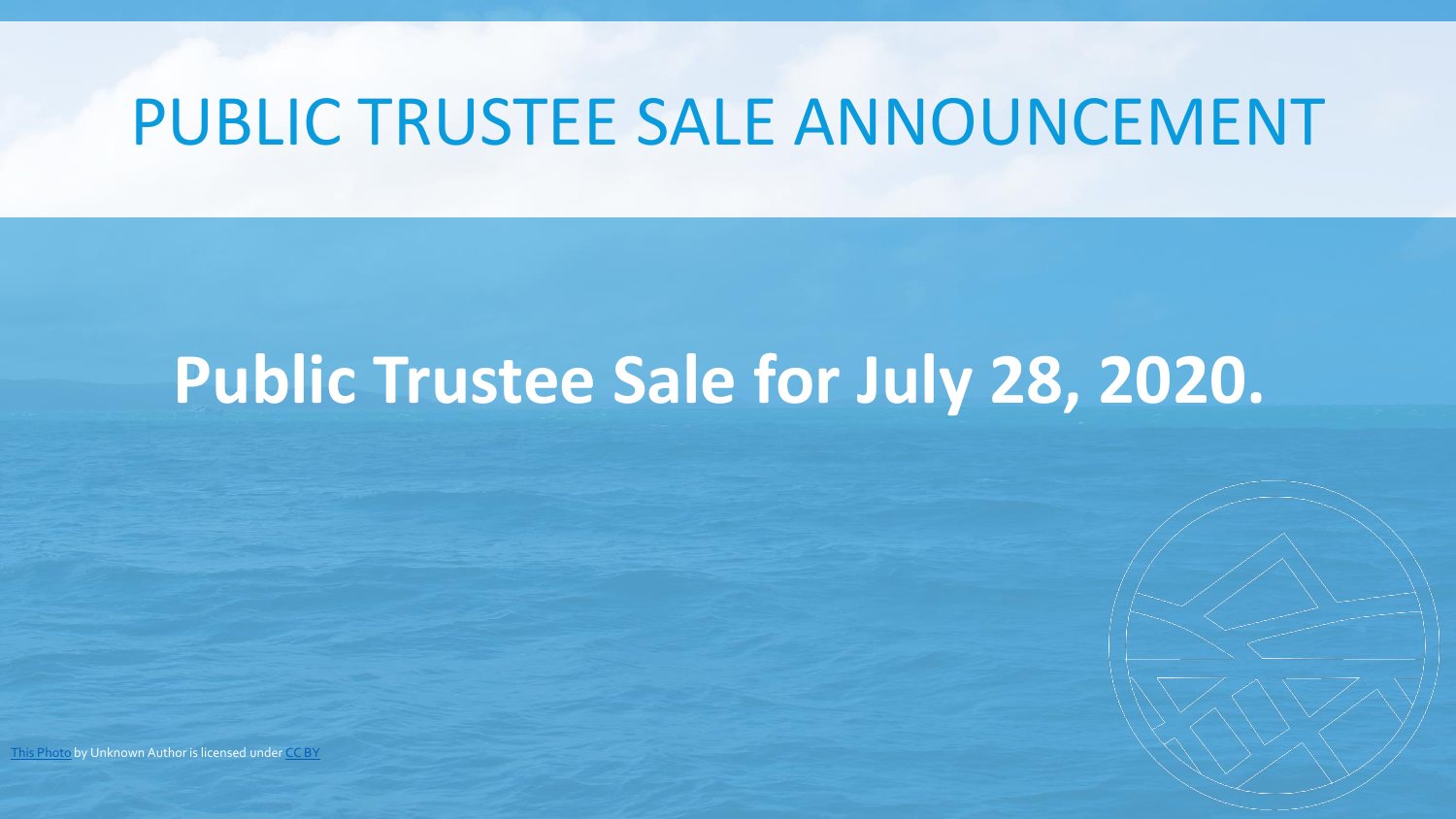### PUBLIC TRUSTEE SALE ANNOUNCEMENT

### **Public Trustee Sale for July 28, 2020.**

[This Photo](http://freeaussiestock.com/free/Queensland/whitsundays/slides/whitsunday_ocean_passage.htm) by Unknown Author is licensed under [CC BY](https://creativecommons.org/licenses/by/3.0/)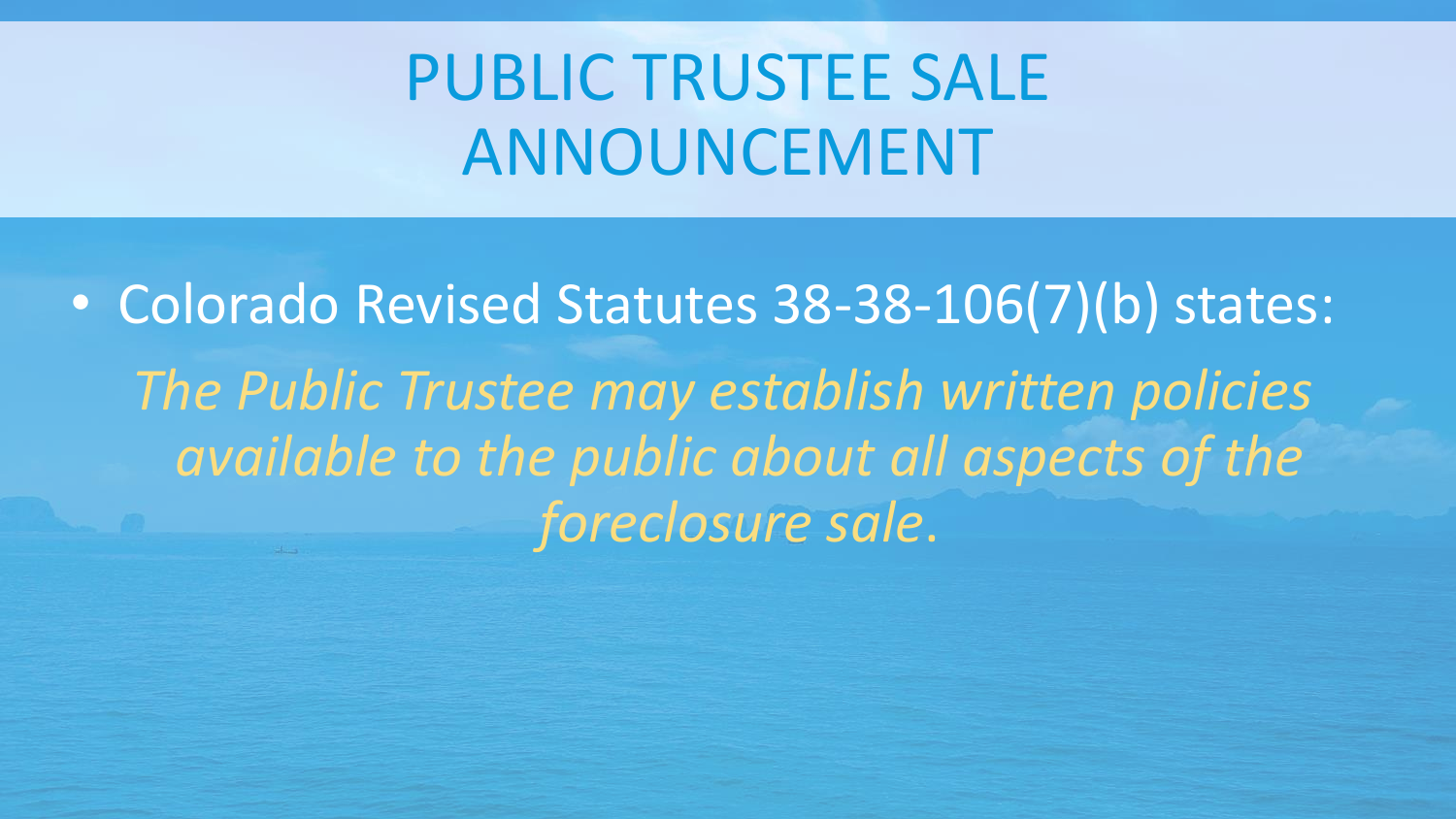# PUBLIC TRUSTEE SALE ANNOUNCEMENT

• Colorado Revised Statutes 38-38-106(7)(b) states: *The Public Trustee may establish written policies available to the public about all aspects of the foreclosure sale*.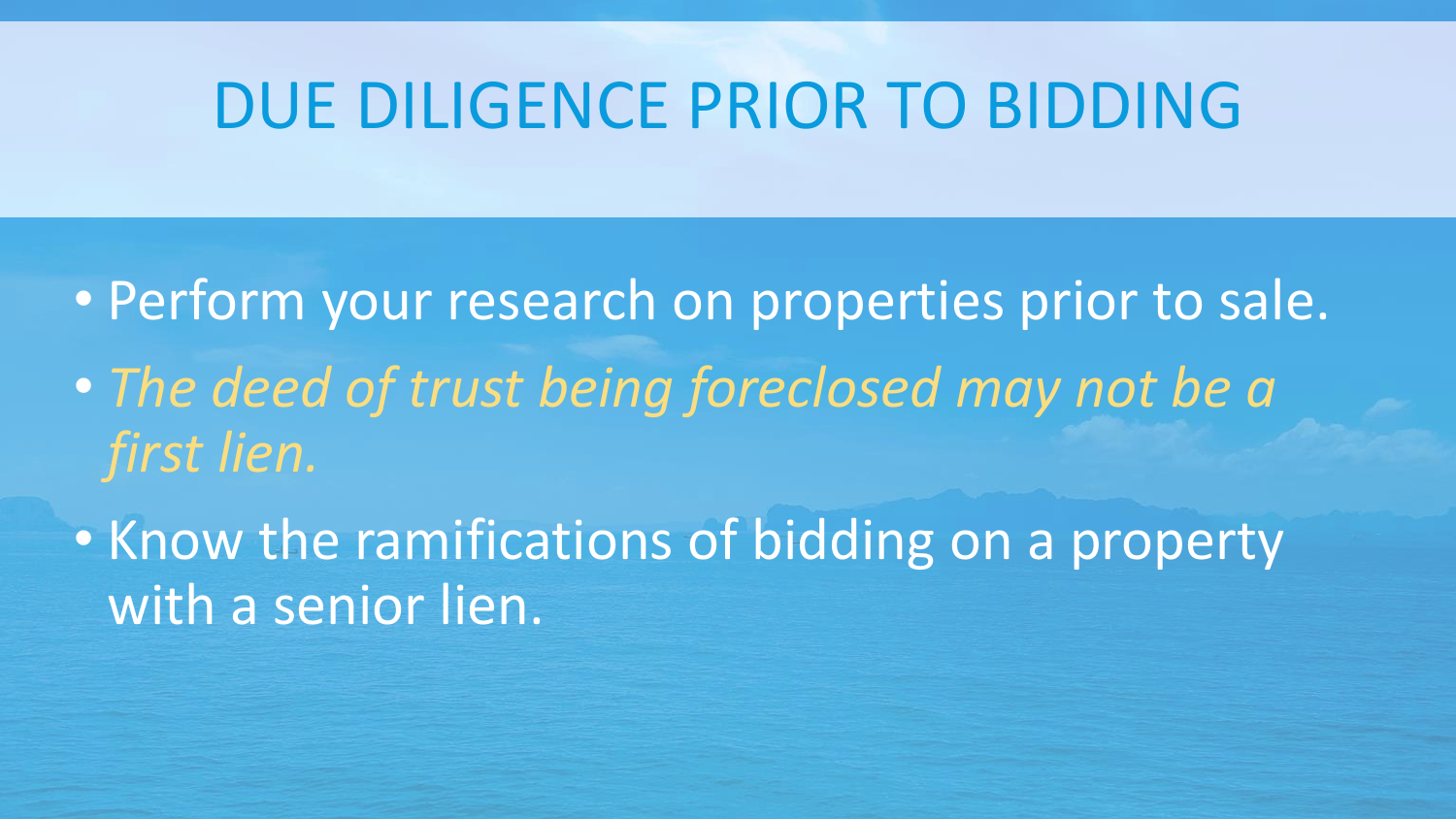### DUE DILIGENCE PRIOR TO BIDDING

- Perform your research on properties prior to sale.
- *The deed of trust being foreclosed may not be a first lien.*
- Know the ramifications of bidding on a property with a senior lien.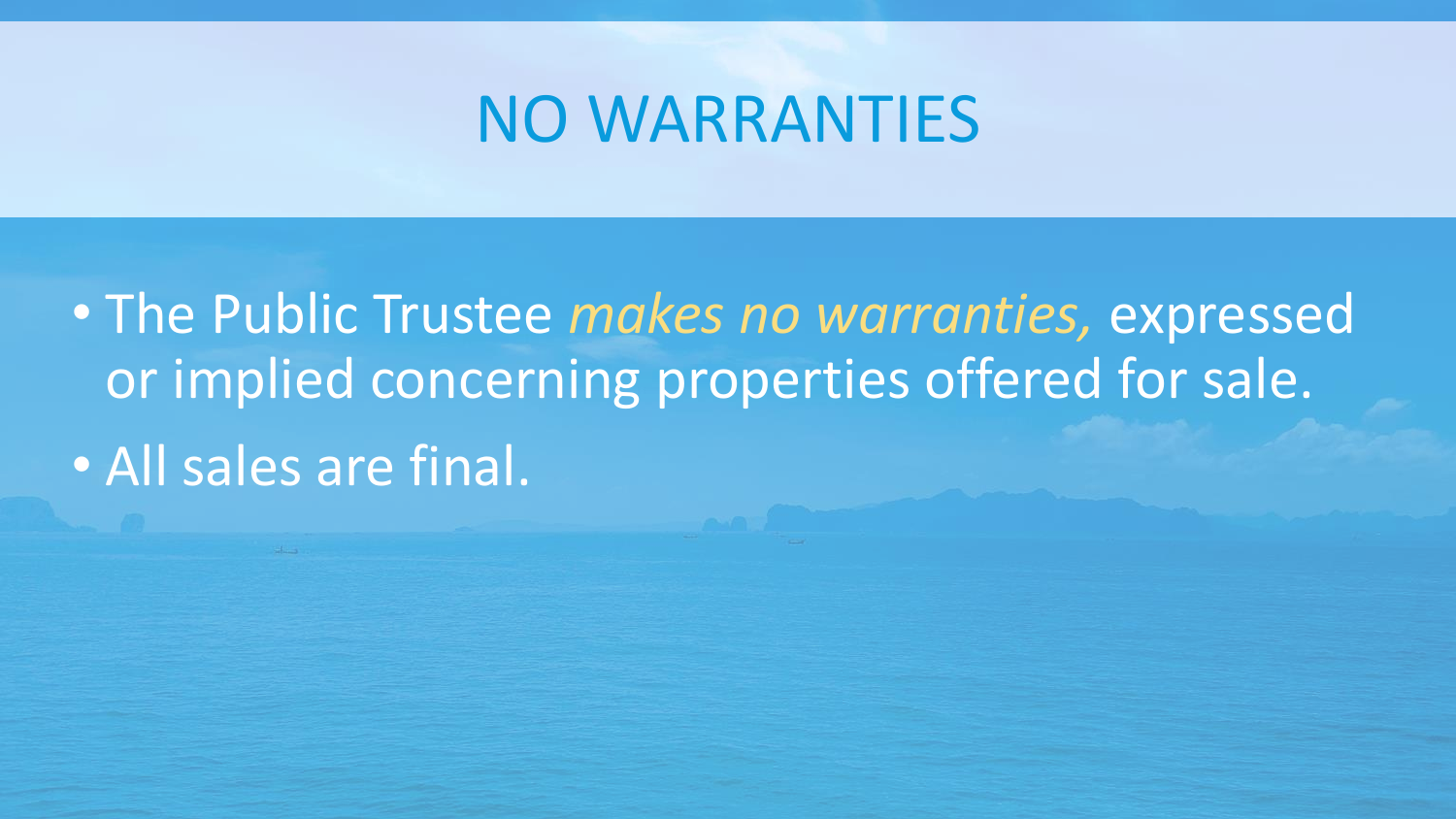#### NO WARRANTIES

• The Public Trustee *makes no warranties,* expressed or implied concerning properties offered for sale. • All sales are final.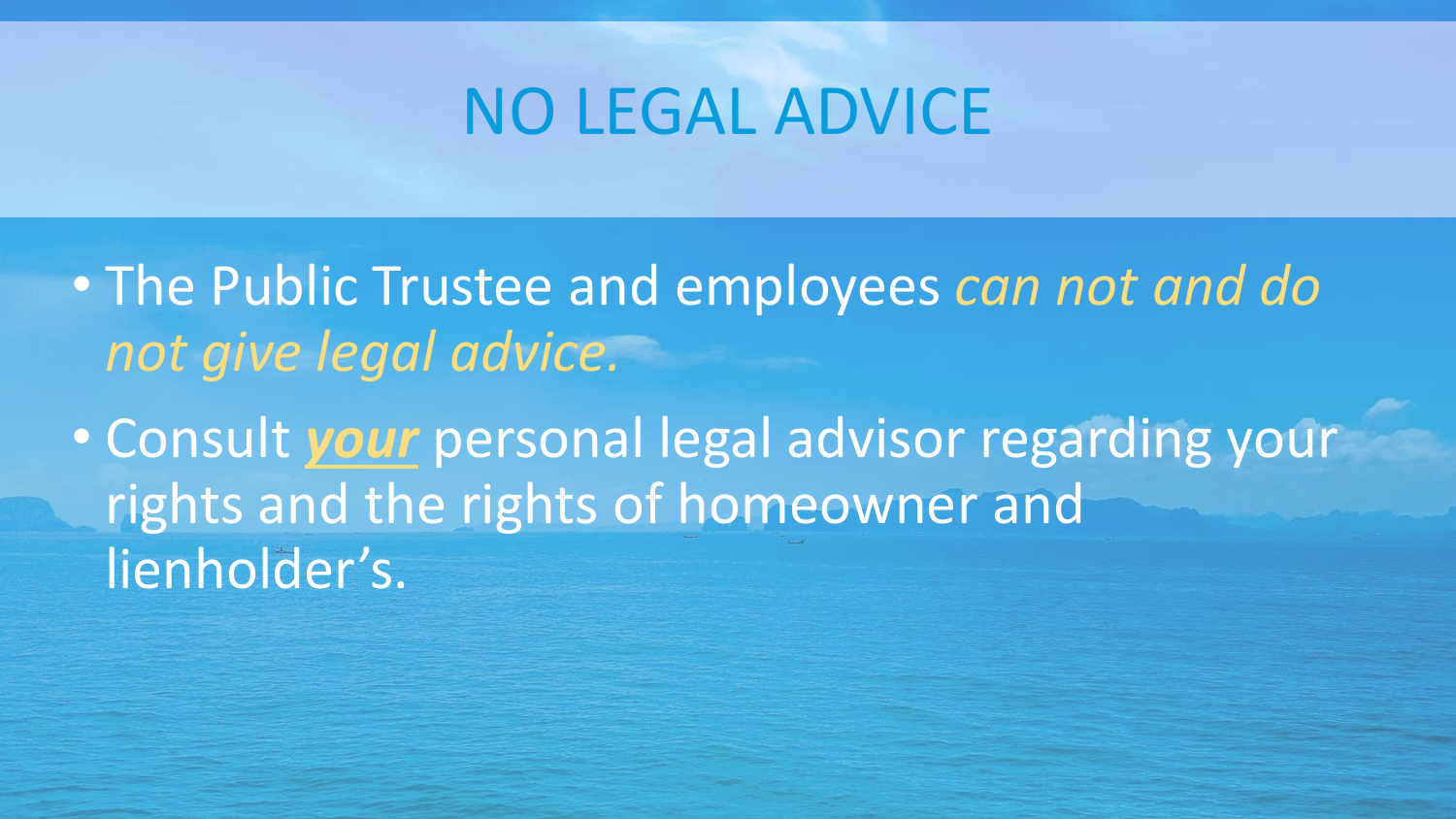## NO LEGAL ADVICE

- The Public Trustee and employees *can not and do not give legal advice.*
- Consult *your* personal legal advisor regarding your rights and the rights of homeowner and lienholder's.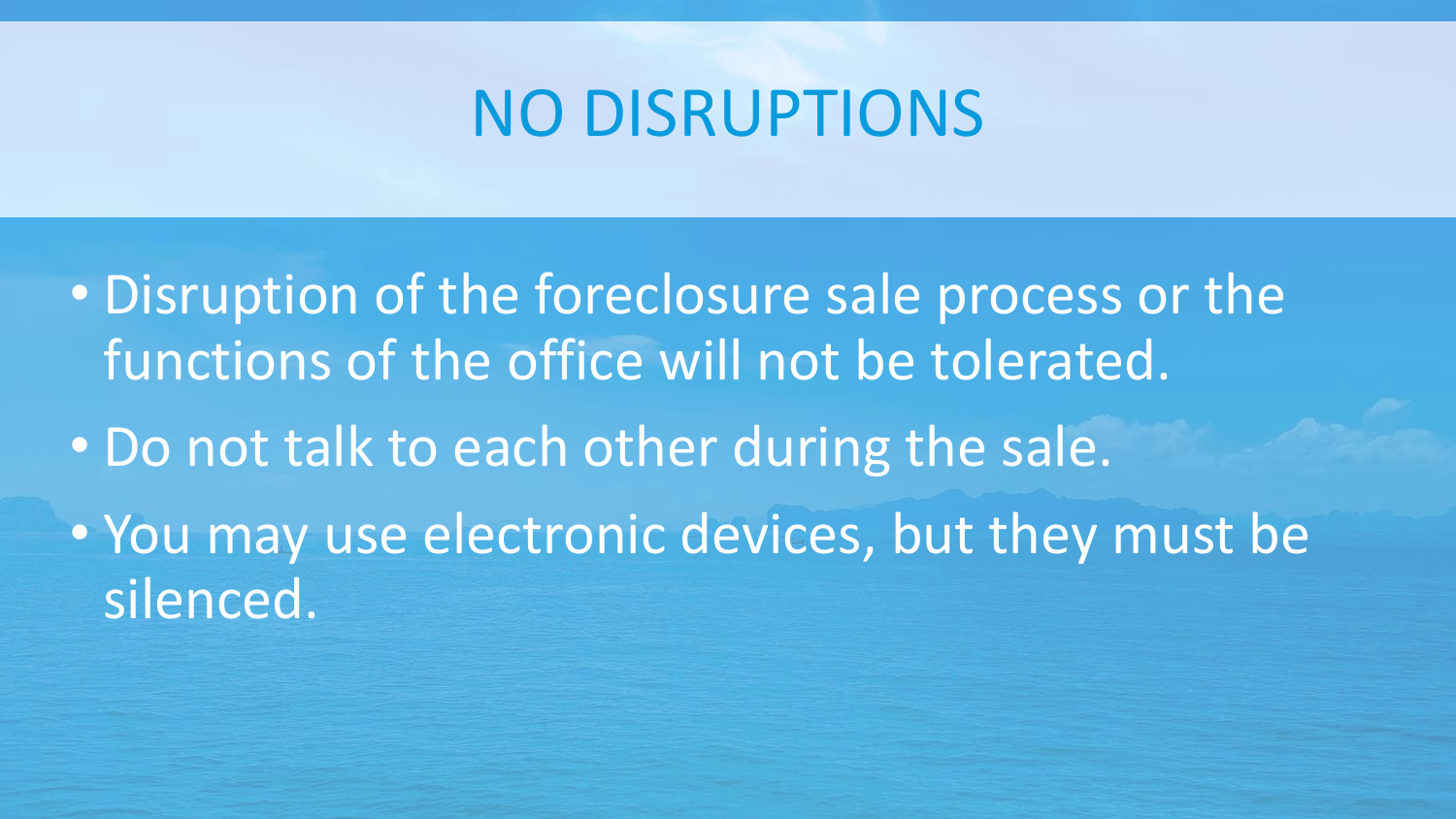#### NO DISRUPTIONS

- Disruption of the foreclosure sale process or the functions of the office will not be tolerated.
- Do not talk to each other during the sale.
- You may use electronic devices, but they must be silenced.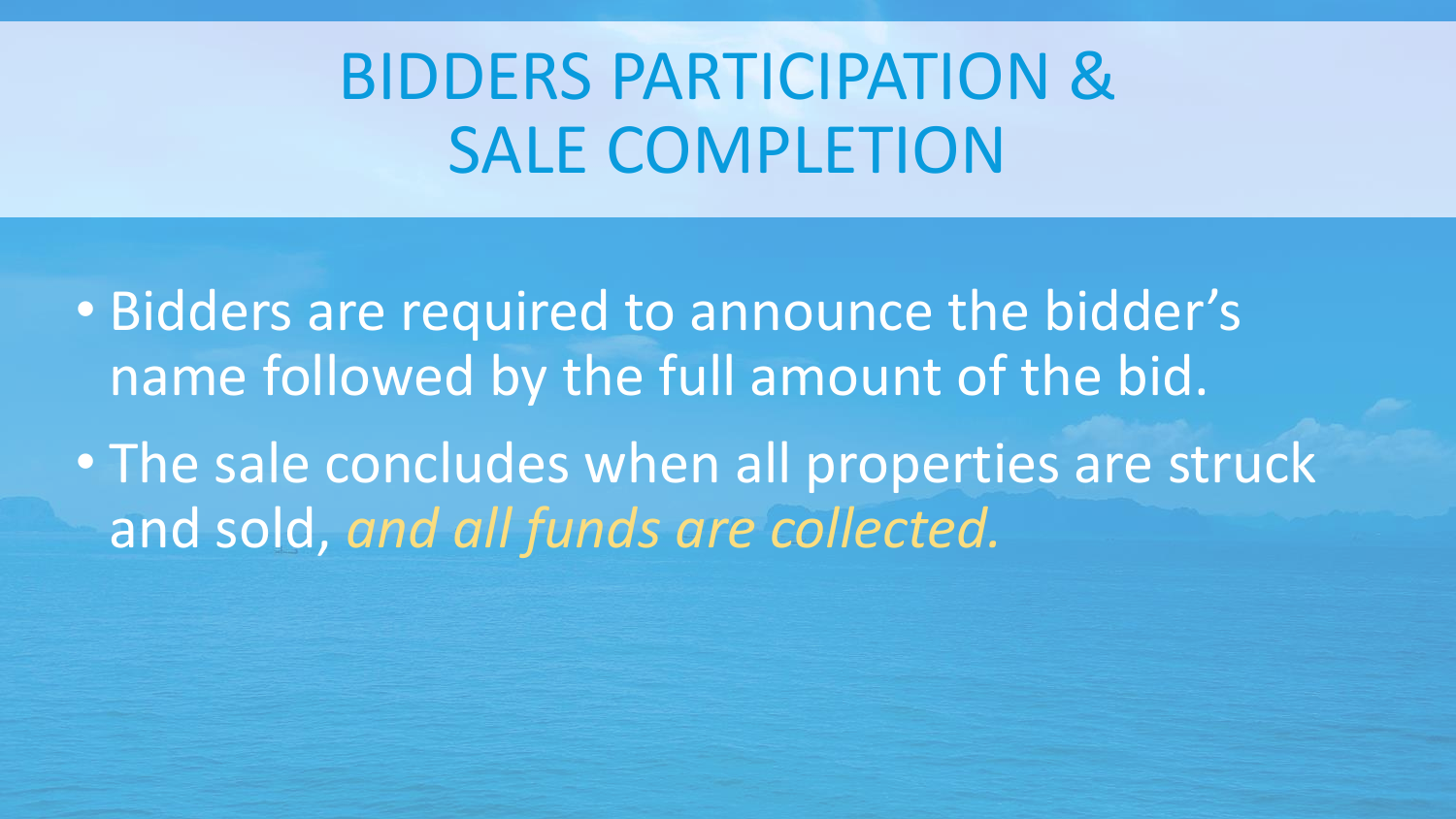# BIDDERS PARTICIPATION & SALE COMPLETION

• Bidders are required to announce the bidder's name followed by the full amount of the bid.

• The sale concludes when all properties are struck and sold, *and all funds are collected.*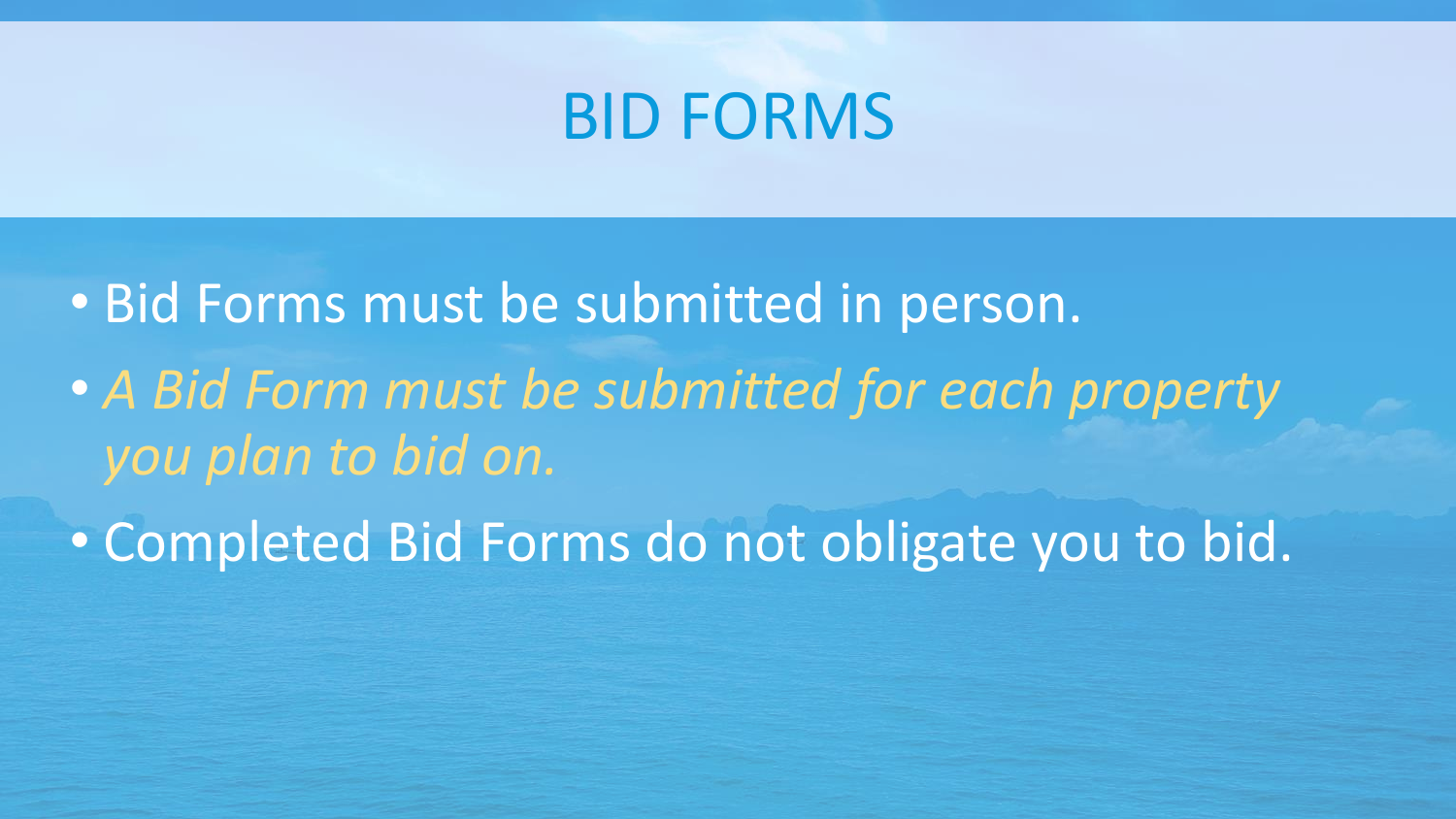#### BID FORMS

• Bid Forms must be submitted in person. • *A Bid Form must be submitted for each property you plan to bid on.* 

• Completed Bid Forms do not obligate you to bid.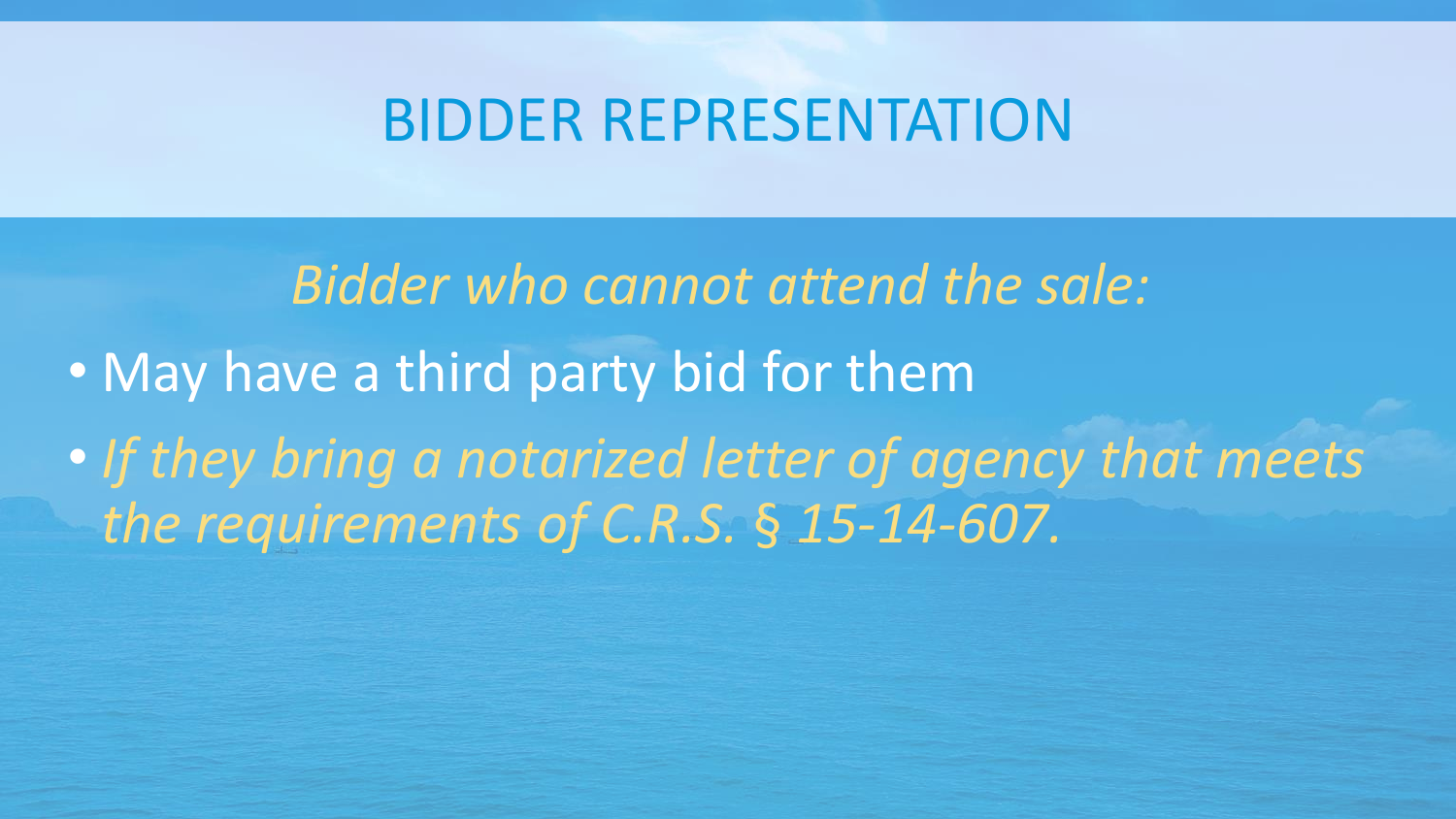#### BIDDER REPRESENTATION

*Bidder who cannot attend the sale:* • May have a third party bid for them • *If they bring a notarized letter of agency that meets the requirements of C.R.S.* § *15-14-607.*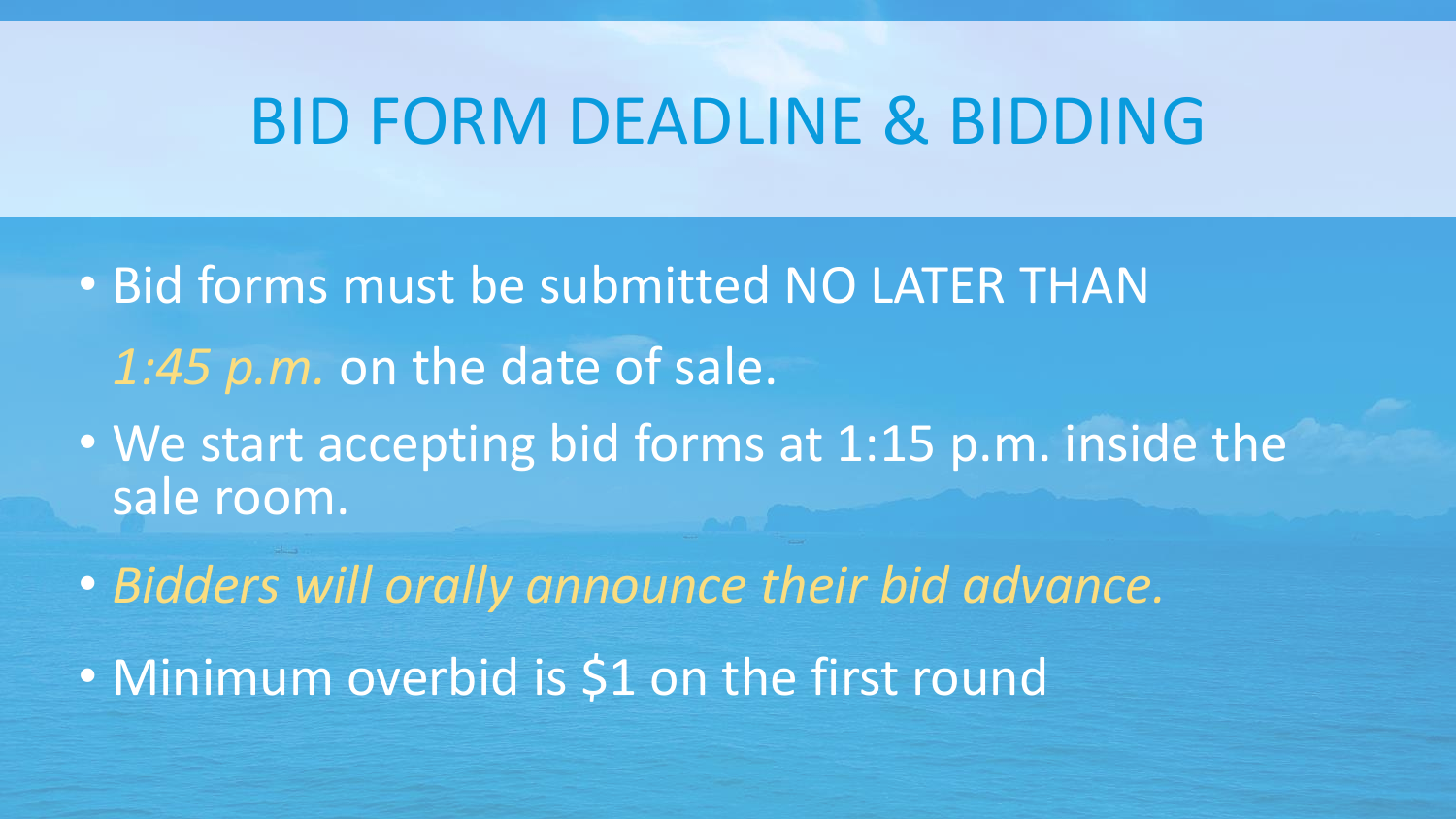#### BID FORM DEADLINE & BIDDING

- Bid forms must be submitted NO LATER THAN *1:45 p.m.* on the date of sale.
- We start accepting bid forms at 1:15 p.m. inside the sale room.
- *Bidders will orally announce their bid advance.*
- Minimum overbid is \$1 on the first round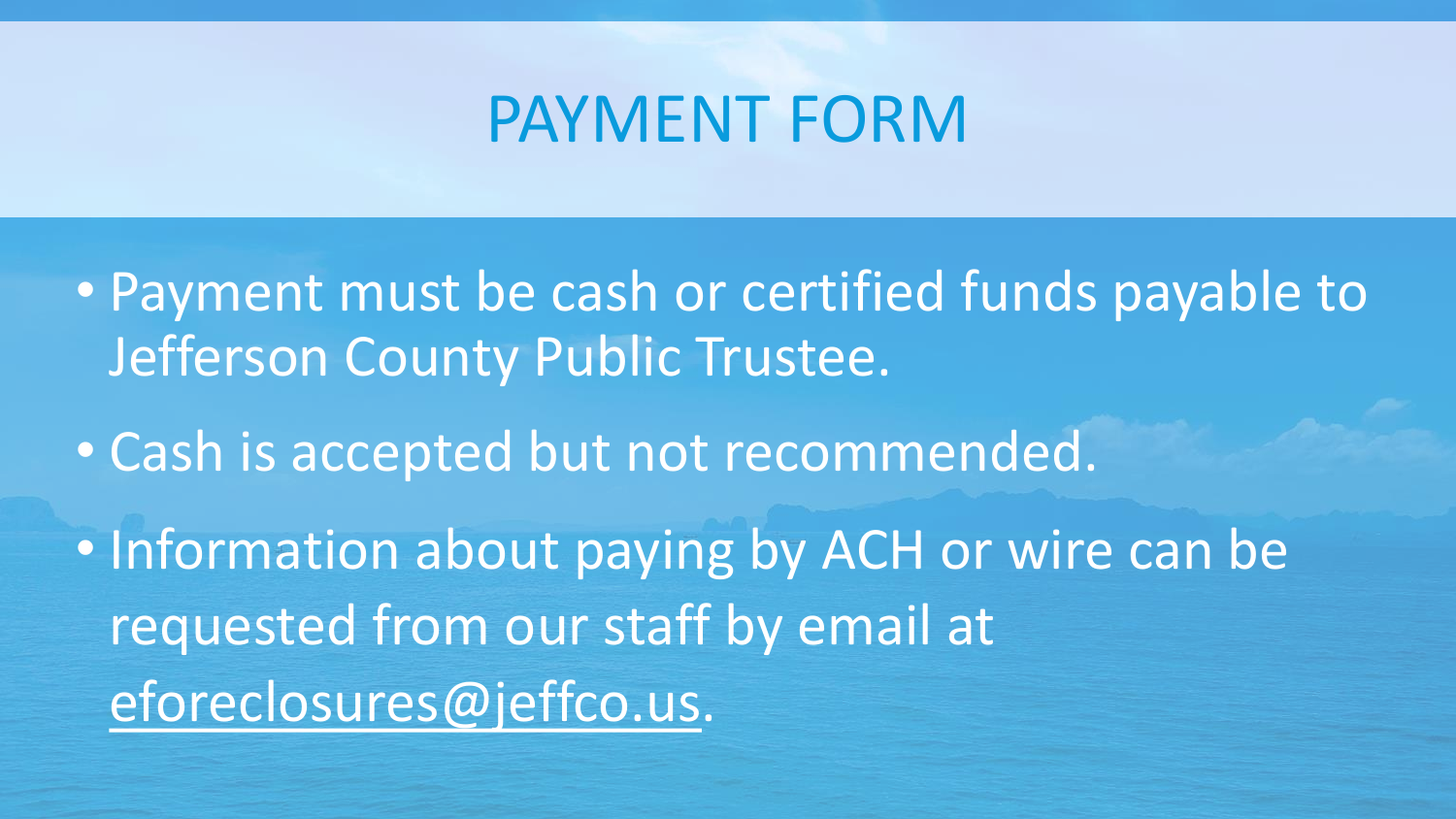#### PAYMENT FORM

- Payment must be cash or certified funds payable to Jefferson County Public Trustee.
- Cash is accepted but not recommended.
- Information about paying by ACH or wire can be requested from our staff by email at eforeclosures@jeffco.us.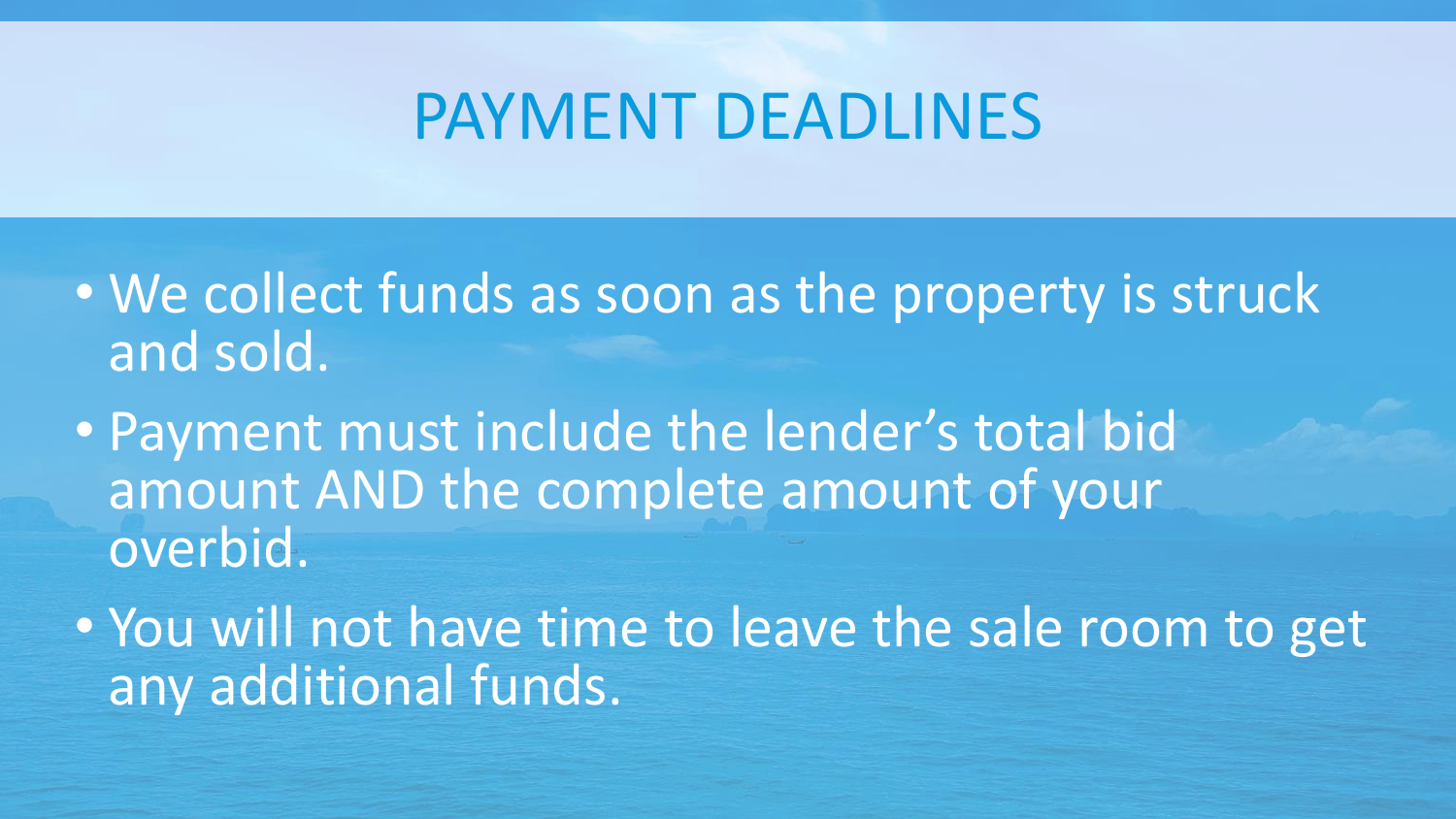#### PAYMENT DEADLINES

- We collect funds as soon as the property is struck and sold.
- Payment must include the lender's total bid amount AND the complete amount of your overbid.
- You will not have time to leave the sale room to get any additional funds.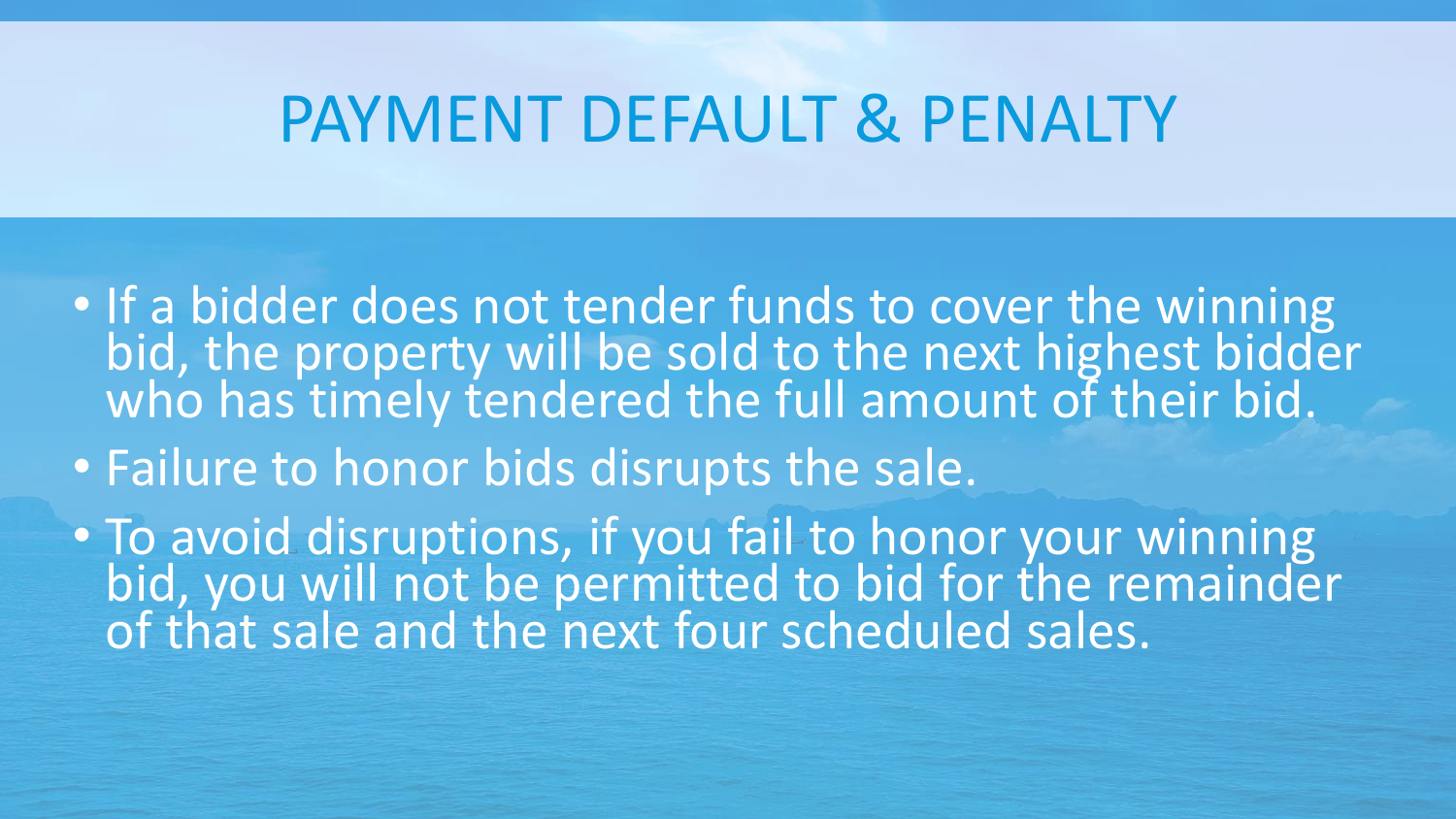### PAYMENT DEFAULT & PENALTY

- If a bidder does not tender funds to cover the winning bid, the property will be sold to the next highest bidder who has timely tendered the full amount of their bid.
- Failure to honor bids disrupts the sale.

• To avoid disruptions, if you fail to honor your winning bid, you will not be permitted to bid for the remainder of that sale and the next four scheduled sales.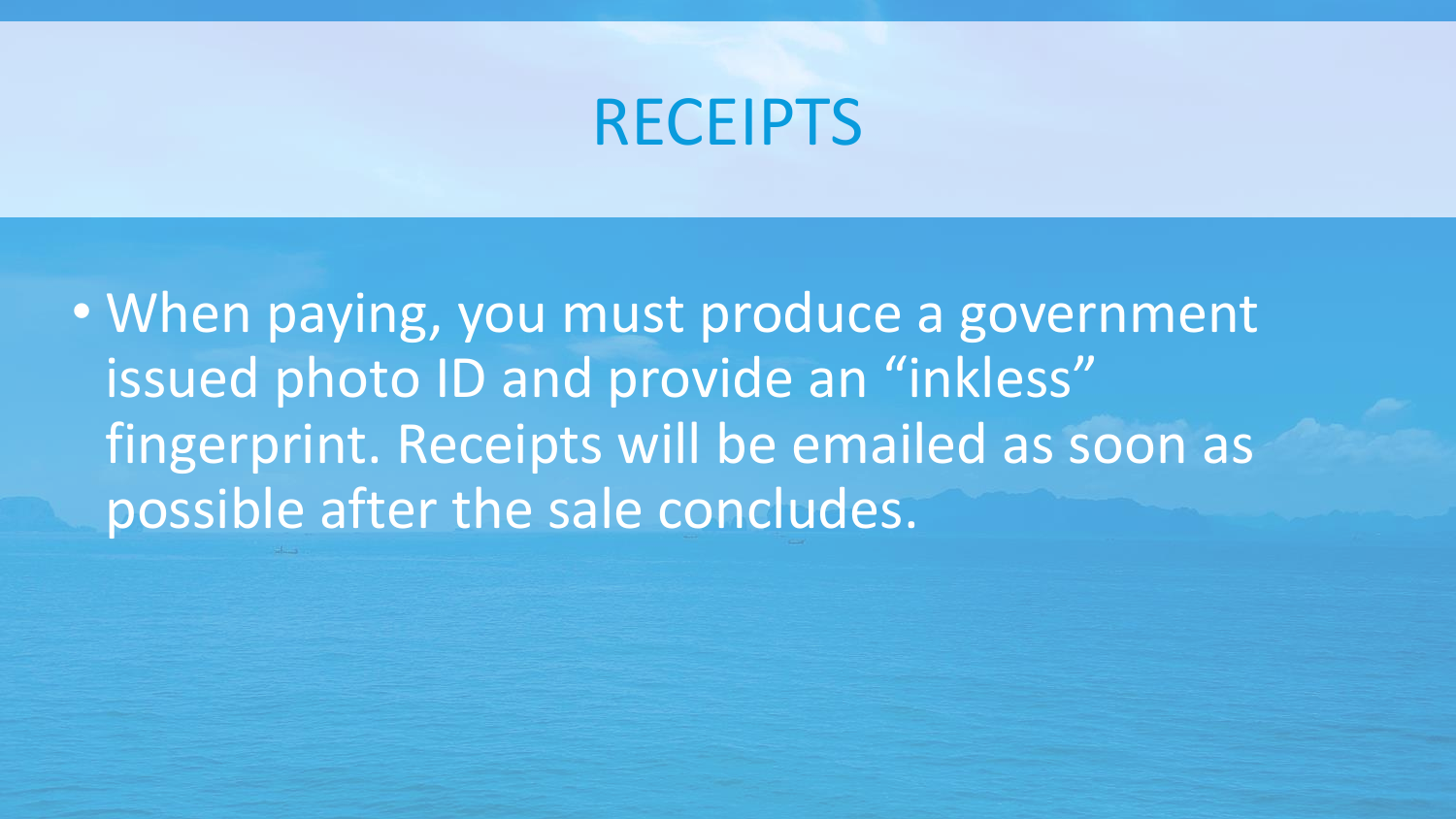#### RECEIPTS

• When paying, you must produce a government issued photo ID and provide an "inkless" fingerprint. Receipts will be emailed as soon as possible after the sale concludes.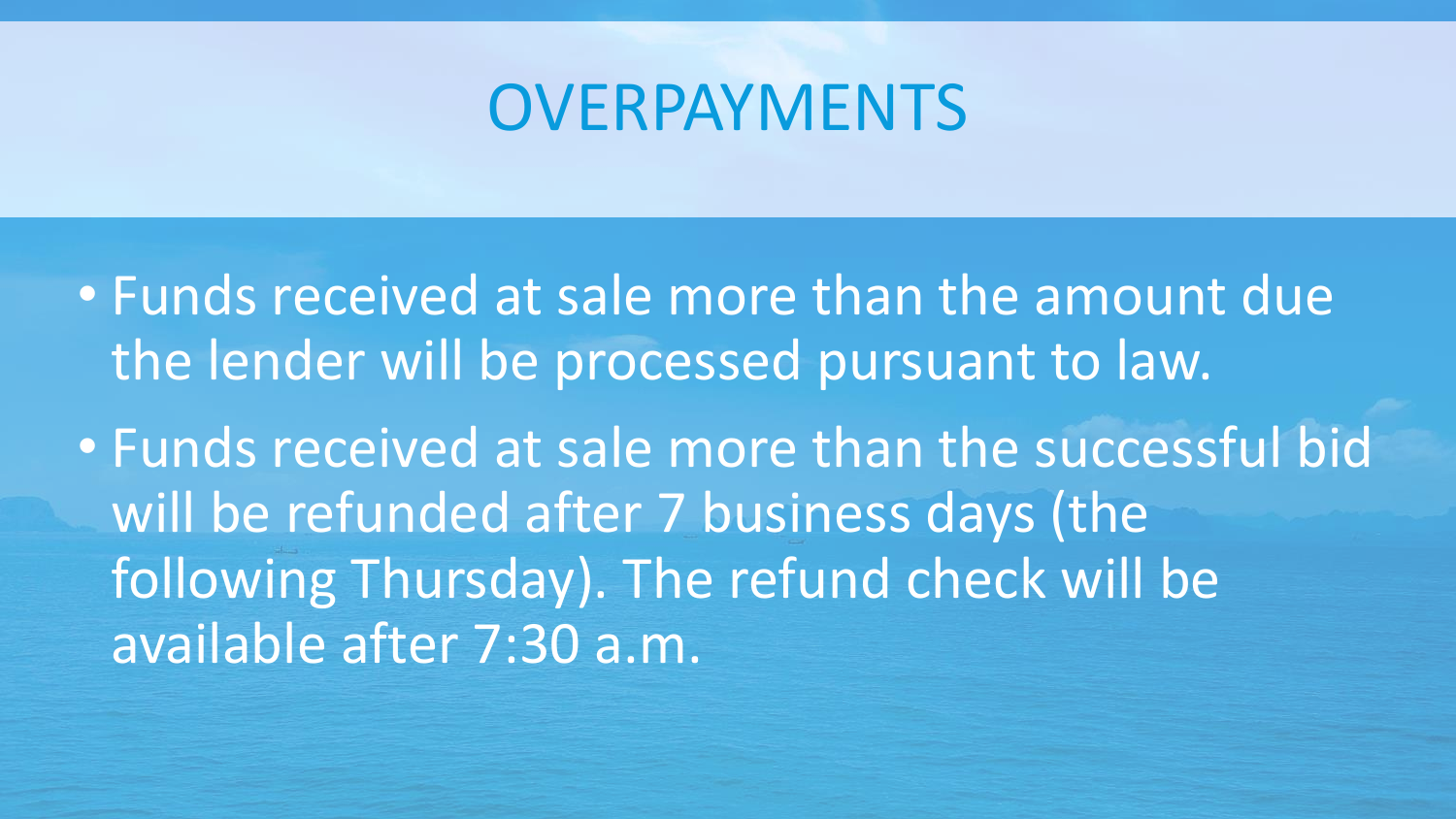### **OVERPAYMENTS**

• Funds received at sale more than the amount due the lender will be processed pursuant to law.

• Funds received at sale more than the successful bid will be refunded after 7 business days (the following Thursday). The refund check will be available after 7:30 a.m.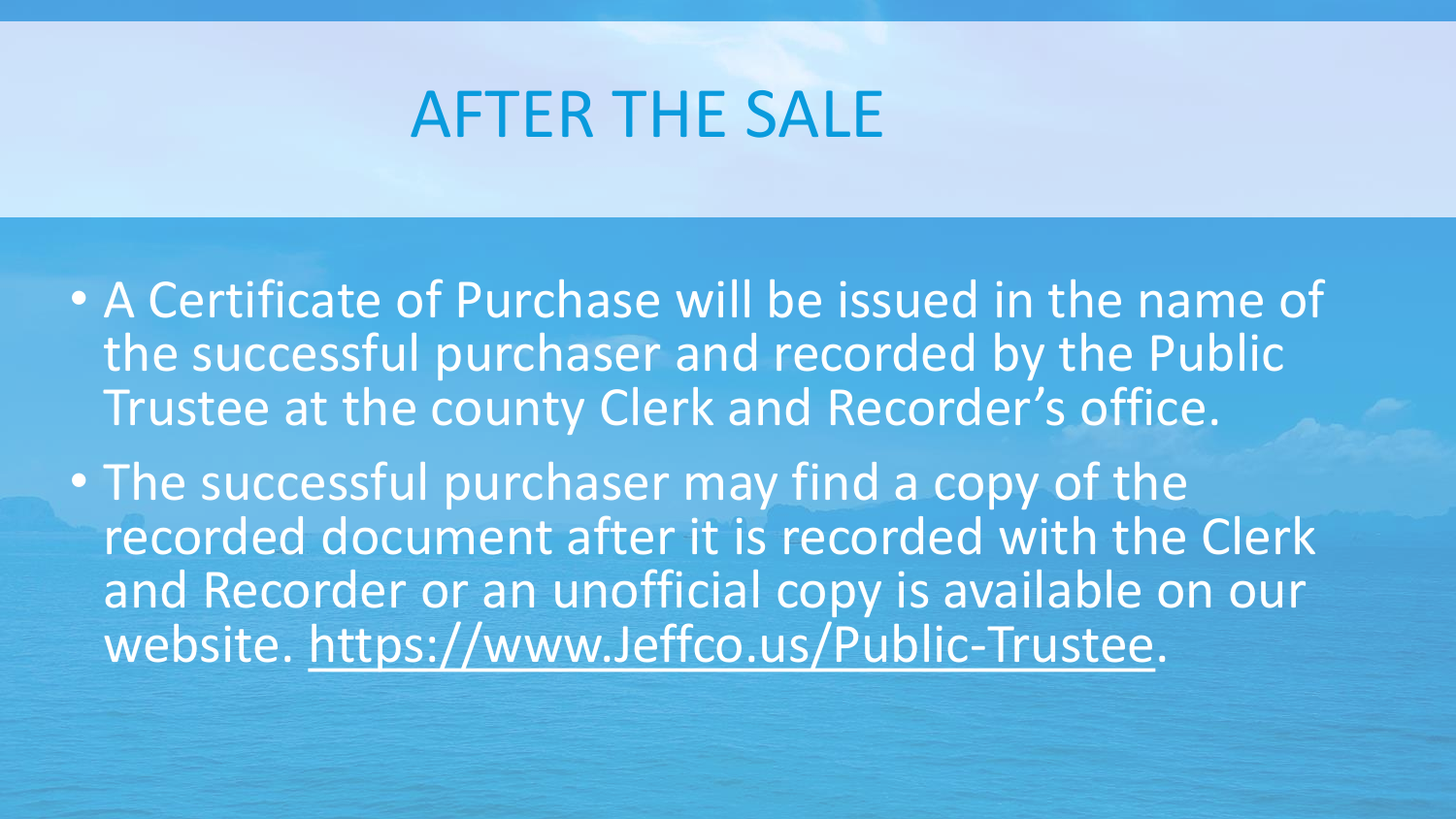#### AFTER THE SALE

- A Certificate of Purchase will be issued in the name of the successful purchaser and recorded by the Public Trustee at the county Clerk and Recorder's office.
- The successful purchaser may find a copy of the recorded document after it is recorded with the Clerk and Recorder or an unofficial copy is available on our website. https://www.Jeffco.us/Public-Trustee.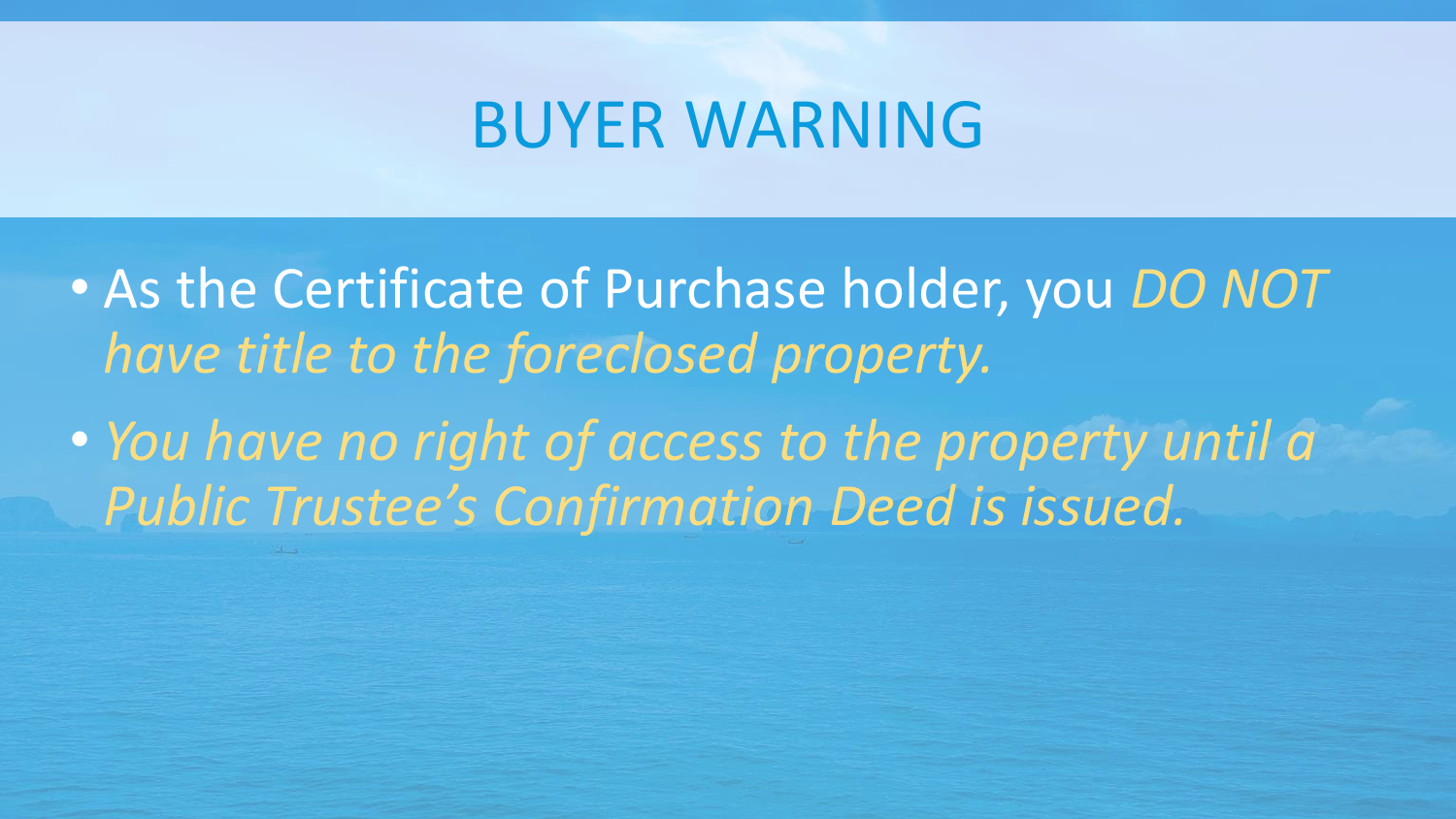#### BUYER WARNING

- As the Certificate of Purchase holder, you *DO NOT have title to the foreclosed property.*
- *You have no right of access to the property until a Public Trustee's Confirmation Deed is issued.*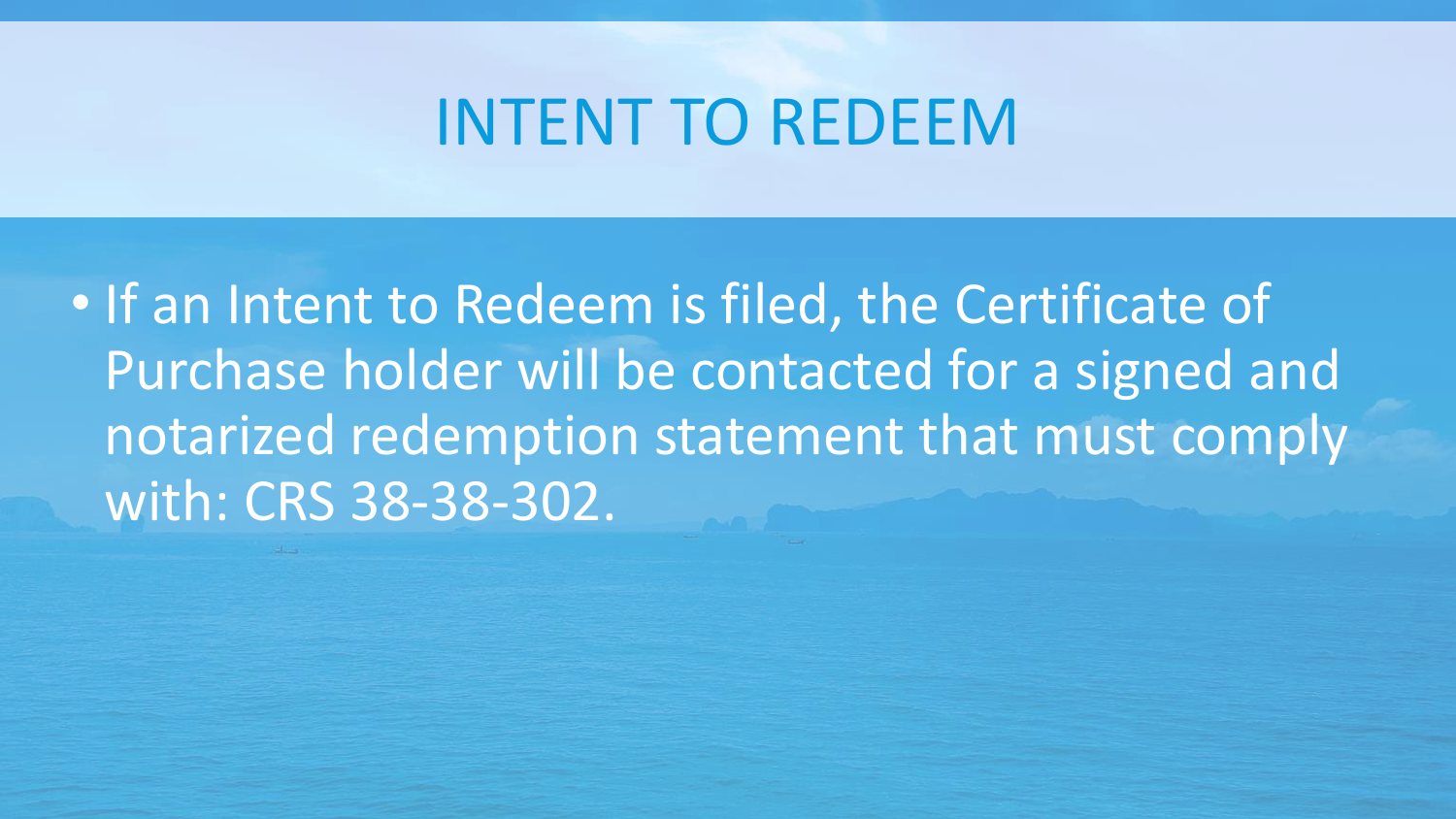#### INTENT TO REDEEM

• If an Intent to Redeem is filed, the Certificate of Purchase holder will be contacted for a signed and notarized redemption statement that must comply with: CRS 38-38-302.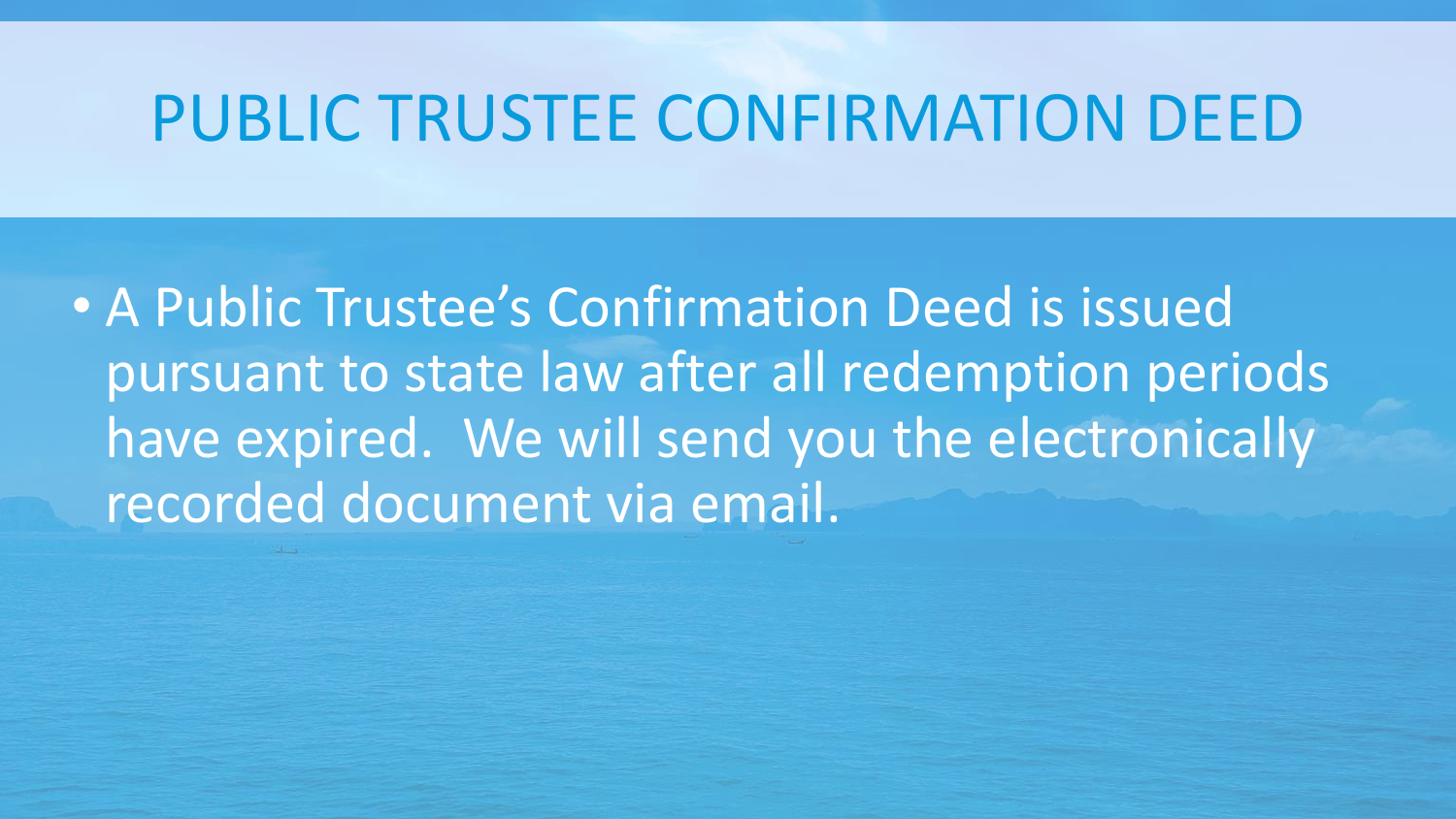### PUBLIC TRUSTEE CONFIRMATION DEED

• A Public Trustee's Confirmation Deed is issued pursuant to state law after all redemption periods have expired. We will send you the electronically recorded document via email.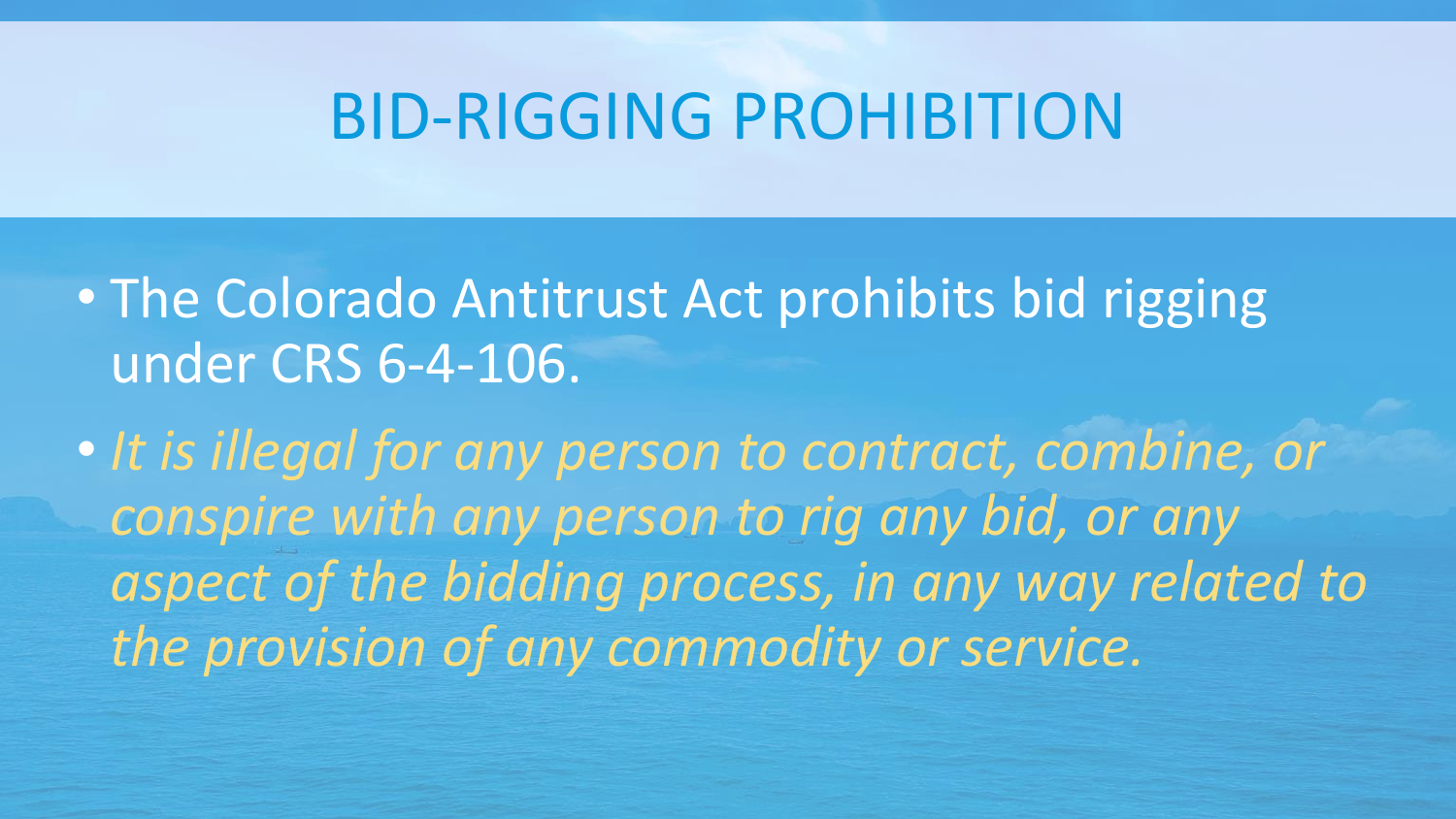#### BID-RIGGING PROHIBITION

• The Colorado Antitrust Act prohibits bid rigging under CRS 6-4-106.

• *It is illegal for any person to contract, combine, or conspire with any person to rig any bid, or any aspect of the bidding process, in any way related to the provision of any commodity or service.*